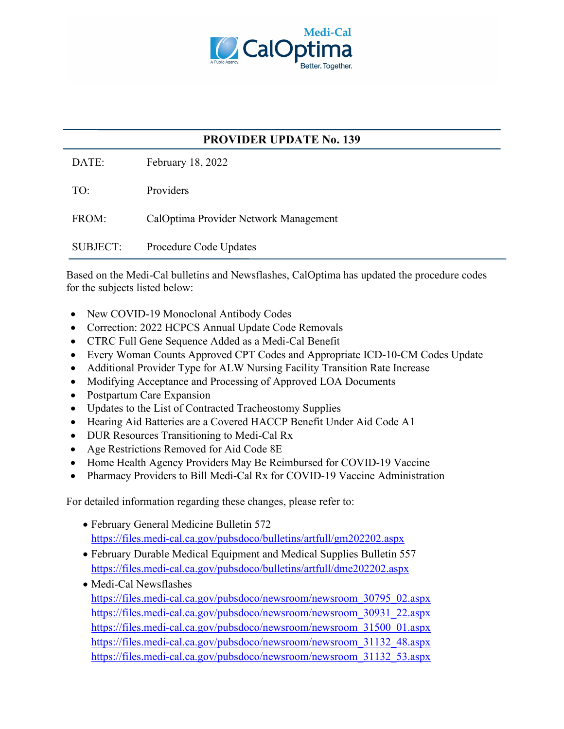

## **PROVIDER UPDATE No. 139**

DATE: February 18, 2022

TO: Providers

FROM: CalOptima Provider Network Management

SUBJECT: Procedure Code Updates

Based on the Medi-Cal bulletins and Newsflashes, CalOptima has updated the procedure codes for the subjects listed below:

- New COVID-19 Monoclonal Antibody Codes
- Correction: 2022 HCPCS Annual Update Code Removals
- CTRC Full Gene Sequence Added as a Medi-Cal Benefit
- Every Woman Counts Approved CPT Codes and Appropriate ICD-10-CM Codes Update
- Additional Provider Type for ALW Nursing Facility Transition Rate Increase
- Modifying Acceptance and Processing of Approved LOA Documents
- Postpartum Care Expansion
- Updates to the List of Contracted Tracheostomy Supplies
- Hearing Aid Batteries are a Covered HACCP Benefit Under Aid Code A1
- DUR Resources Transitioning to Medi-Cal Rx
- Age Restrictions Removed for Aid Code 8E
- Home Health Agency Providers May Be Reimbursed for COVID-19 Vaccine
- Pharmacy Providers to Bill Medi-Cal Rx for COVID-19 Vaccine Administration

For detailed information regarding these changes, please refer to:

- February General Medicine Bulletin 572 <https://files.medi-cal.ca.gov/pubsdoco/bulletins/artfull/gm202202.aspx>
- February Durable Medical Equipment and Medical Supplies Bulletin 557 <https://files.medi-cal.ca.gov/pubsdoco/bulletins/artfull/dme202202.aspx>
- Medi-Cal Newsflashes [https://files.medi-cal.ca.gov/pubsdoco/newsroom/newsroom\\_30795\\_02.aspx](https://files.medi-cal.ca.gov/pubsdoco/newsroom/newsroom_30795_02.aspx) [https://files.medi-cal.ca.gov/pubsdoco/newsroom/newsroom\\_30931\\_22.aspx](https://files.medi-cal.ca.gov/pubsdoco/newsroom/newsroom_30931_22.aspx) [https://files.medi-cal.ca.gov/pubsdoco/newsroom/newsroom\\_31500\\_01.aspx](https://files.medi-cal.ca.gov/pubsdoco/newsroom/newsroom_31500_01.aspx) [https://files.medi-cal.ca.gov/pubsdoco/newsroom/newsroom\\_31132\\_48.aspx](https://files.medi-cal.ca.gov/pubsdoco/newsroom/newsroom_31132_48.aspx) [https://files.medi-cal.ca.gov/pubsdoco/newsroom/newsroom\\_31132\\_53.aspx](https://files.medi-cal.ca.gov/pubsdoco/newsroom/newsroom_31132_53.aspx)